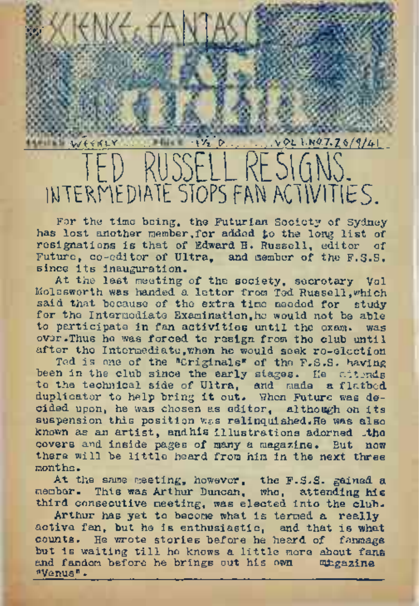## wi<i<vi' .......................-i'4'i>. VOL I.H0.7.ZW4I TED RUSSELL RES1GMS. INTERMEDIATE STOPS FAN ACTIVITIES.

'.w'

NK<del>C</del>cEA

For the time being, the Futurian Society of Sydney has lost another member,for added to the long list of resignations is that of Edward H. Russell, editor of Future, co-editor of Ultra, and member of the F.S.S. since its inauguration.

At the lest meeting of the society, secretary Vol. Molesworth was handed a letter from Ted Russell,which said that because of the extra time needed for study for the Intermodiate Examination, he would not be able to participate in fan activities until the exam, was over.Thus he was forced to resign from the club until after the Intermediate,when he would seek re-election

Ted is one of the "Originals" of the F.S.S. having been in the club since the early stages. He attends to the technical side of Ultra, and made a flatbed duplicator to help bring it out. When Future was decided upon, he was chosen as editor, although on its suspension this position was relinquished.He was also known as an artist, andhis illustrations adorned .the covers and inside pages of many a magazine. But now there will be little heard from him in the next three months.

At the same meeting, however, the F.S.S. gained a member. This was Arthur Duncan, who, attending his third consecutive meeting, was elected into the club.

Arthur has yet to become what is termed a really active fan, but he is enthusiastic, and that is what counts. He wrote stories before he heard of fanmags but is waiting till ho knows <sup>a</sup> little more about fane and fandom before he brings out his own whgazine ''Venus".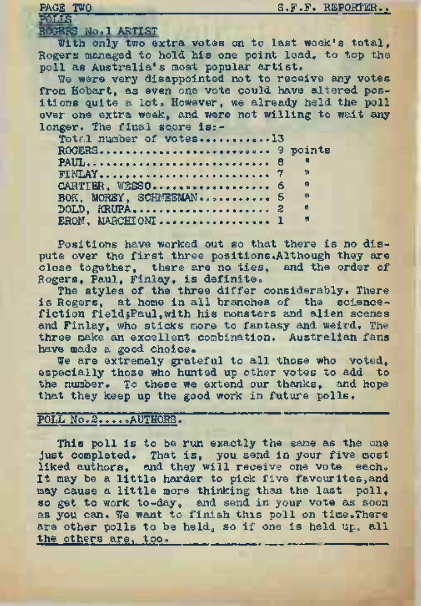| <b>POLIS</b><br>ROGERS No.1 ARTIST<br>With only two extra votes on to last week's total. |  |
|------------------------------------------------------------------------------------------|--|
|                                                                                          |  |
|                                                                                          |  |
|                                                                                          |  |
| Rogers managed to hold his one point load, to top the                                    |  |
| poll as Australia's most popular artist.                                                 |  |
| We were very disappointed not to receive any votes                                       |  |
| from Hobart, as even one vote could have altered pos-                                    |  |
| itions quite a lot. Howaver, we already held the poll                                    |  |
| over one extra week, and were not willing to wait any                                    |  |
| longer. The final score is:-                                                             |  |
| Total number of votes13                                                                  |  |
| ROGERS 9 points                                                                          |  |
| PAUL 8                                                                                   |  |
| $-11$                                                                                    |  |
| $\theta$<br>CARTIER, WESSO 6                                                             |  |
| $\mathbf{u}$<br>BOK. MOREY, SCHMEEMAN 5                                                  |  |
| $\blacksquare$<br>$DOLD$ , $iRUPA$ ,  2                                                  |  |
| Ħ<br>ERON. MARCHIONI  1                                                                  |  |

Positions have worked out so that there is no dispute over the first three positions.Although they are close together, there are no ties, and the order of Rogers, Paul, Finlay, is definite,

The styles of the three differ considerably, There is Rogers, at home in all branches of the sciencefiction fieldjPaul,with his monsters and alien scenes and Finlay, who sticks more to fantasy and weird. The three make an excellent combination. Australian fans have made a good choice.

We are extremely grateful to all those who voted. especially those who hunted up other votes to add to the number. To these we extend our thanks, and hope that they keep up the good work in future polls.

## POLL No.2.... .AUTHORS.

This poll is to be run exactly the same as the one just completed. That is, you send in your five most liked authors, and they will receive one vote sach. It may be <sup>a</sup> little harder to pick five favourites,and may cause a little more thinking than the last poll, so get to work to-day, and send in your vote as soon as you can. We want to finish this poll on time. There are other polls to be held, so if one is held up, all the others are, too,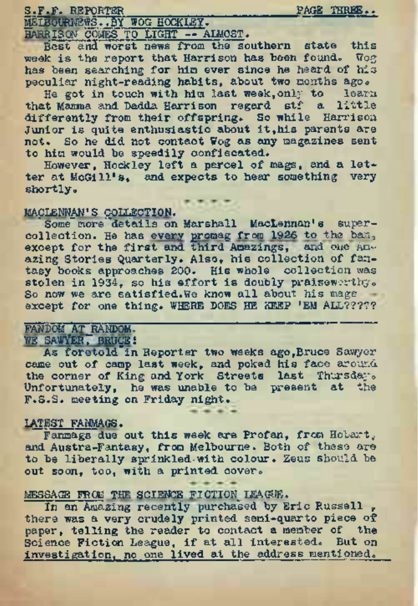S.F.F. <sup>R</sup>EPORTER\_\_\_\_\_\_\_\_\_\_\_\_\_\_\_\_\_\_\_\_\_\_\_\_\_\_\_\_\_ PAGE THREE,. gtaOURNEWS .^BY WPG HOCKLEY.

HARRISON COMES TO LIGHT — ALMOST.

Best and worst news from the southern state this week is the report that Harrison has been found. Wog has been searching for him ever since he heard of his peculiar night-reading habits, about two months ago.

He got in touch with him last week, only to learn that Mamma and Dadda Harrison regard stf a little differently from their offspring. So while Harrison<br>Junior is quite enthusiastic about it,his parents are not. So he did not contact Wog as any magazines sent to him would be speedily confiscated.

However, Hockley left a parcel of mags, and a letter at McGill's, and expects to hear something very shortly.

#### MACLENNAN'S COLLECTION.

Some more details on Marshall MacLennan's supercollection. He has every promag from 1926 to the ban<sub>3</sub><br>except for the first and third Amazings, and one Am-<br>azing Stories Quarterly. Also, his collection of fantasy books approaches 200. His whole collection was stolen in 1934, so his effort is doubly praiseworthy. So now we are satisfied.We know all about his mags except for one thing. WHERE DOES HE KEEP 'EM ALL?????

#### FANDOM AT RANDOM. WE SAWYER, BRUCE!

As foretold"in Reporter two weeks ago,Bruce Sawyer came out of camp last week, and poked his face around the corner of King and York Streets last Thursday. Unfortunately, he was unable to be present at the F.S.S. meeting on Friday night.

### LATEST FANMAGS.

Fanmags due out this week are Profan, from Hobart, and Austra-Fantasy, from Melbourne. Both of these are to be liberally sprinkled-with colour. Zeus should be out soon, too, with a printed cover.

### MESSAGE FROM THE SCIENCE FICTION LEAGUE.

In an Amazing recently purchased by Eric Russell. there was a very crudely printed semi-quarto piece of paper, telling the reader to contact a member of the Science Fiction League, if at all interested. But on investigation, no one lived at the address mentipned.